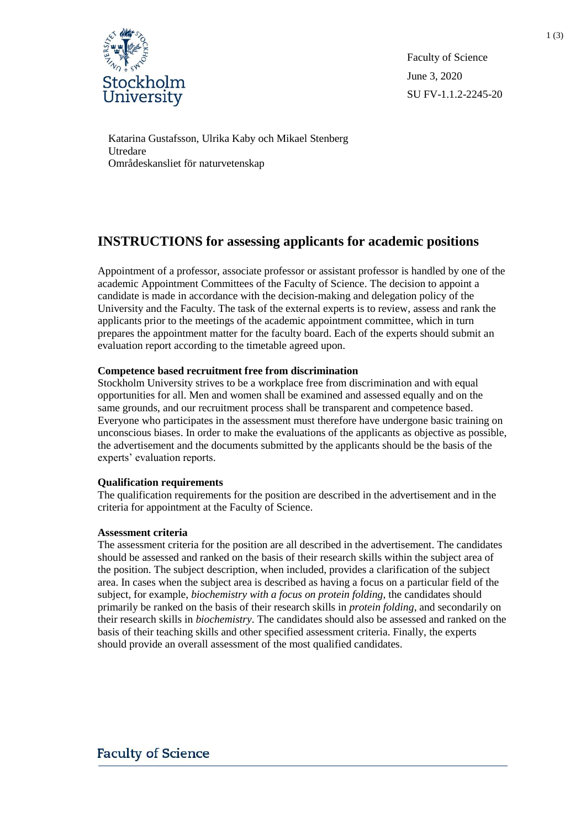

Faculty of Science June 3, 2020 SU FV-1.1.2-2245-20

Katarina Gustafsson, Ulrika Kaby och Mikael Stenberg Utredare Områdeskansliet för naturvetenskap

# **INSTRUCTIONS for assessing applicants for academic positions**

Appointment of a professor, associate professor or assistant professor is handled by one of the academic Appointment Committees of the Faculty of Science. The decision to appoint a candidate is made in accordance with the decision-making and delegation policy of the University and the Faculty. The task of the external experts is to review, assess and rank the applicants prior to the meetings of the academic appointment committee, which in turn prepares the appointment matter for the faculty board. Each of the experts should submit an evaluation report according to the timetable agreed upon.

# **Competence based recruitment free from discrimination**

Stockholm University strives to be a workplace free from discrimination and with equal opportunities for all. Men and women shall be examined and assessed equally and on the same grounds, and our recruitment process shall be transparent and competence based. Everyone who participates in the assessment must therefore have undergone basic training on unconscious biases. In order to make the evaluations of the applicants as objective as possible, the advertisement and the documents submitted by the applicants should be the basis of the experts' evaluation reports.

## **Qualification requirements**

The qualification requirements for the position are described in the advertisement and in the criteria for appointment at the Faculty of Science.

## **Assessment criteria**

The assessment criteria for the position are all described in the advertisement. The candidates should be assessed and ranked on the basis of their research skills within the subject area of the position. The subject description, when included, provides a clarification of the subject area. In cases when the subject area is described as having a focus on a particular field of the subject, for example, *biochemistry with a focus on protein folding*, the candidates should primarily be ranked on the basis of their research skills in *protein folding*, and secondarily on their research skills in *biochemistry*. The candidates should also be assessed and ranked on the basis of their teaching skills and other specified assessment criteria. Finally, the experts should provide an overall assessment of the most qualified candidates.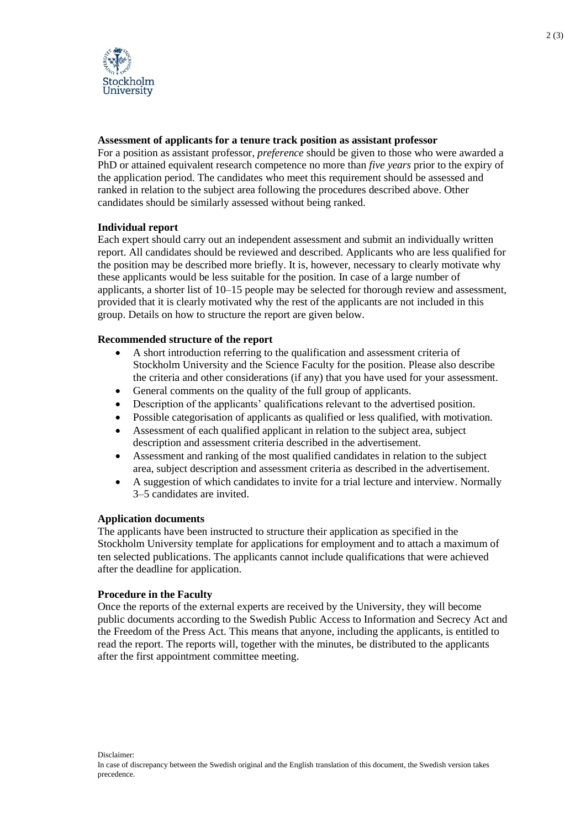

## **Assessment of applicants for a tenure track position as assistant professor**

For a position as assistant professor, *preference* should be given to those who were awarded a PhD or attained equivalent research competence no more than *five years* prior to the expiry of the application period. The candidates who meet this requirement should be assessed and ranked in relation to the subject area following the procedures described above. Other candidates should be similarly assessed without being ranked.

# **Individual report**

Each expert should carry out an independent assessment and submit an individually written report. All candidates should be reviewed and described. Applicants who are less qualified for the position may be described more briefly. It is, however, necessary to clearly motivate why these applicants would be less suitable for the position. In case of a large number of applicants, a shorter list of 10–15 people may be selected for thorough review and assessment, provided that it is clearly motivated why the rest of the applicants are not included in this group. Details on how to structure the report are given below.

## **Recommended structure of the report**

- A short introduction referring to the qualification and assessment criteria of Stockholm University and the Science Faculty for the position. Please also describe the criteria and other considerations (if any) that you have used for your assessment.
- General comments on the quality of the full group of applicants.
- Description of the applicants' qualifications relevant to the advertised position.
- Possible categorisation of applicants as qualified or less qualified, with motivation.
- Assessment of each qualified applicant in relation to the subject area, subject description and assessment criteria described in the advertisement.
- Assessment and ranking of the most qualified candidates in relation to the subject area, subject description and assessment criteria as described in the advertisement.
- A suggestion of which candidates to invite for a trial lecture and interview. Normally 3–5 candidates are invited.

## **Application documents**

The applicants have been instructed to structure their application as specified in the Stockholm University template for applications for employment and to attach a maximum of ten selected publications. The applicants cannot include qualifications that were achieved after the deadline for application.

## **Procedure in the Faculty**

Once the reports of the external experts are received by the University, they will become public documents according to the Swedish Public Access to Information and Secrecy Act and the Freedom of the Press Act. This means that anyone, including the applicants, is entitled to read the report. The reports will, together with the minutes, be distributed to the applicants after the first appointment committee meeting.